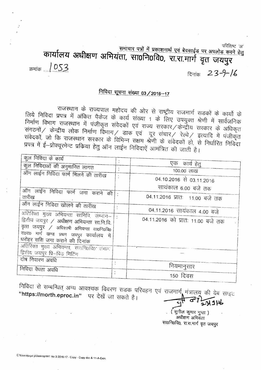परिशिष्ट 'अ'

समाचार पत्रों में प्रकाशनार्थ एवं बेवसाईड पर अपलोड करने हेतु कार्यालय अधीक्षण अभियंता, सा0नि0वि0, रा.रा.मार्ग वृत जयपुर

1053 क्रमांक

दिनांक 23-9-16

# <u>निविदा सूचना संख्या 03/2016–17</u>

राजस्थान के राज्यपाल महोदय की ओर से राष्ट्रीय राजमार्ग सड़कों के कार्यो के लिये निविदा प्रपत्र में अंकित पैकेज के कार्य संख्या 1 के लिए उपयुक्त श्रेणी में सार्वजनिक संवेदकों, जो कि राजस्थान सरकार के विभिन्न सक्षम श्रेणी के संवेदकों हो, से निर्धारित निविदा प्रपत्र में ई-प्रोक्यूरमेन्ट प्रकिया हेतु ऑन लाईन निविदाऐं आमंत्रित की जाती है।

| कुल निविदा के कार्य                                                                    |  |                                   |
|----------------------------------------------------------------------------------------|--|-----------------------------------|
| कुल निविदाओं की अनुमानित लागत                                                          |  | एक कार्य हेतू                     |
| ऑन लाईन निविदा फार्म मिलने की तारीख                                                    |  | 100.00 लाख                        |
|                                                                                        |  | 04.10.2016 से 03.11.2016          |
| ऑन लाईन निविदा फार्म जमा कराने की                                                      |  | सायंकाल 6.00 बजे तक               |
| तारीख                                                                                  |  | 04.11.2016 प्रातः 11.00 बजे तक    |
| ऑन लाईन निविदा खोलने की तारीख<br>अतिरिक्त मुख्य अभियन्ता सानिवि, सम्भाग-               |  | 04.11.2016 सायंकाल 4.00 बजे       |
| द्वितीय जयपुर / अधीक्षण अभियन्ता सा.नि.वि.                                             |  | 04.11.2016 को प्रातः 11.00 बजे तक |
| वृत्त जयपुर / अधिशाषी अभियन्ता सा०नि०वि०<br>रा0रा0 मार्ग खण्ड प्रथम जयपुर कार्यालय में |  |                                   |
| धरोहर राशि जमा कराने की दिनांक                                                         |  |                                   |
| अतिरिक्त मुख्य अभियन्ता, साठनि0वि0 समाग<br>डितीय जयपुर प्रि-बिड मिटिंग                 |  |                                   |
| दोष निवारण अवधि                                                                        |  |                                   |
| निविदा वैधता अवधि                                                                      |  | नियमानुसार                        |
|                                                                                        |  | 150 दिवस                          |

निविदा से सम्बन्धित अन्य आवश्यक विवरण सडक परिवहन एवं राजमार्ग, मंत्रालयू की वेब साइट "https://morth.eproc.in" पर देखें जा सकते हैं।  $71316$ 

> (सुनील कुमार गुप्ता) अधीक्षण अभियंता सा०नि०वि०, रा.रा.मार्ग वृत जयपुर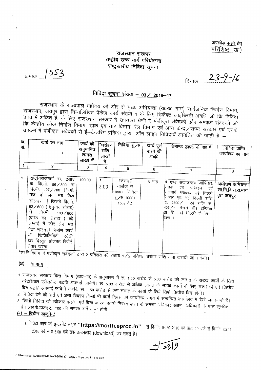अपलोड करने हेतु (परिशिष्ट 'ख')

### राजस्थान सरकार राष्ट्रीय उच्च मार्ग परियोजना राष्ट्रस्तरीय निविदा सूचना

क्रमांक 1053

दिनांक 23-9-16

## <u>निविदा सूचना संख्या - 03 / 2016-17</u>

राजस्थान के राज्यपाल महोदय की ओर से मुख्य अभियन्ता (रा०रा० मार्ग) सार्वजनिक निर्माण विभाग, राजस्थान, जयपुर द्वारा निम्नलिखित पैकेज कार्य संख्या 1 के लिए डिफैक्ट लाईब्लिटी अवधि जो कि निविदा प्रपत्र में अकित हैं, के लिए राजस्थान सरकार में उपयुक्त श्रेणी में पंजीकृत संवेदकों और समकक्ष संवेदकों जो कि केन्द्रीय लोक निर्माण विभाग, डाक एवं तार विभाग, रेल विभाग एवं अन्य केन्द्र / राज्य सरकार एवं उनके उपकम में पंजीकृत संवेदकों से ई-टेन्डरिंग प्रकिया द्वारा) ऑन लाइन निविदायें आमंत्रित की जाती है :-

| क.<br>स. | कार्य का नाम<br>$\overline{2}$                                                                                                                                                                                                                                                                                                      | कार्य की<br>अनुमानित<br>लागत<br>लाखों में<br>3 | *धरोहर<br>राशि<br>लाखों<br>ਸੇਂ<br>4 | निविदा शुल्क<br>5                                                 | कार्य पूर्ण<br>करने की<br>अवधि<br>6 | डिमाण्ड ड्राफ्ट के पक्ष में<br>$\overline{7}$                                                                                                                                                                        | निविदा प्राप्ति<br>कार्यालय का नाम<br>8               |
|----------|-------------------------------------------------------------------------------------------------------------------------------------------------------------------------------------------------------------------------------------------------------------------------------------------------------------------------------------|------------------------------------------------|-------------------------------------|-------------------------------------------------------------------|-------------------------------------|----------------------------------------------------------------------------------------------------------------------------------------------------------------------------------------------------------------------|-------------------------------------------------------|
|          | राष्ट्रीयराजमार्ग सं0 248ए  <br>के कि.मी. 86/800 से<br>कि.मी. 127 / 700 कि.मी.<br>तक दो लेन मय पेव्ड<br>सोलंडर   जिसमें कि.मी.<br>92/600 (हनुमान चौराहे)<br>से कि.मी. 103/800<br>(बगड का तिराहा ) की<br>लम्बाई में फोर लेन मय<br>पेव्ड सोल्डर] निर्माण कार्य<br>की फिजिलिविटी स्टेडी<br>कर विस्तृत प्रोजक्ट रिपोर्ट<br>तैयार करना । | 100.00                                         | $\ast$<br>2.00                      | स्टेशनरी<br>चार्जेज रू.<br>1000+ निविदा<br>शुल्क 1000+<br>15% ਕੇਟ | 6 माह                               | पि एण्ड अकाउण्ट्स ओफिसर,<br>सडक<br>एव परिवहन एवं<br>राजमार्ग मंत्रालय नई दिल्ली  <br>पिएबल एट नई दिल्ली राशि<br>रू. 2300/– एवं राशि रू.<br>$405 / -$ मैसर्स सी1 इण्डिया<br>प्रा. लि. नई दिल्ली ई-पेमेन्ट<br>द्वारा । | अधीक्षण अभियन्ता<br>सा.नि.वि.रा.रा.मार्ग<br>वृत जयपुर |

सा.नि.विभाग में पंजीकृत संवेदकों द्वारा 2 प्रतिशत की बजाय 1/2 प्रतिशत धरोहर राशि जमा करायी जा सकेगी।

#### $(3I)$  – सामान्य

- 1 राजस्थान सरकार वित्त विभाग (व्यय–III) के अनुसारण में रू. 1.50 करोड से 5.00 करोड की लागत के सडक कार्यो के लिये नरेटेशियल एसेसमेन्ट पद्धति अपनाई जावेगी। रू. 5.00 करोड से अधिक लागत के सडक कार्यो के लिए तकनीकी एवं वित्तीय बिड पद्धति अपनाई जावेगी जबकि रू. 1.50 करोड से कम लागत के कार्यों के लिये रिार्फ वित्त्तीय बिड होगी।
- 2. निविदा देने की शर्ते एवं अन्य विवरण किसी भी कार्य दिवस को कार्यालय समय में सम्बन्धित कार्यालय में देखे जा सकते हैं।
- 3. किसी निविदा को स्वीकार करने )एवं बिना कारण बताये निरस्त करने के समस्त अधिकार सक्षम |अधिकारी के पास सुरक्षित है। आर.पी.डब्ल्यू.ए.-100 की समस्त शर्ते मान्य होगी।

(ब) - बिडींग डाकूमेन्ट

1. निविदा प्रपत्र को इन्टरनेट साइट "https://morth.eproc.in" से दिनांक 04.10..2016 को प्रातः 10 वजे से दिनांक 03.11. 2016 को सांय 6.00 बजे तक डाउनलोड (download) कर सकते है।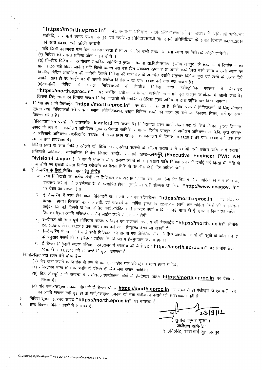*"https:llmorth.eproc.in"* **qx,** सानिवि, रा.रा.मार्ग खण्ड प्रथम जयपुर, एवं उपरिथत निविदादाताओं या उनके प्रतिनिधियों के समक्ष दिनांक 04.11..2016 को सांय 04.00 बजे खोली जायेगी।

यदि किसी कारणवश उस दिन अवकाश रहता है तो अगले दिन उसी समय व उसी स्थान पर निविदायें खोली जायेगी। (ब) निविदा की समस्त प्रकिया ऑन लाइन होगी ।

.<br>(स) प्री—बिड मिटिंग का आयोजन सम्बन्धित अतिरिक्त मुख्य अभियन्ता सा.नि.वि.संभाग द्वित्तीय जयपुर) के कार्यालय में दिनांक — को . . .<br>| प्रातः 11.00 बजे किया जावेगा यदि किसी कारण वश उस दिन अवकाश रहता है तो अगले कार्यदिवस उसी समय व उसी स्थान पर fh-बिड मिटिंग आयोजित की जावेगी जिसमें निविदा की धारा 9.2 के अन्तर्गत दर्शाये अनुसार विभिन्न मुदो एवं प्रश्नों के उत्तर दिये \ITTC)Tr <sup>1</sup> ~f2.T iT c)q ~ qi( +tT 3f1Rr cncRUT ~~c{) - *q>1* >m1: 11.00 ~ OC{) <sup>~</sup> x:[q)('f ~ <sup>1</sup>

(द)तकनीकी निविदा में सफल निविदाताओं के वित्तीय निविदा प्रपत्र इलेक्ट्रोनिक फारमेट में बेवसाईट<br>**"https://morth.eproc.in"** पर<sup>्</sup>सबंधित अर्थात्मण अधिकत्य काजिनि सात्मार्ग न सम्पन्न कर कर्म हैं को कि पर संबंधित अर्धाक्षण अभियन्ता सानिवि, रा.रा.मार्ग वृत जयपुर <mark>कार्यालय में खोली जायेगी।</mark> - जिसके लिए समय एवं दिनांक सफल निविदा दाताओं को संबंधित अतिरिक्त मुख्य अभियन्ता द्वारा सूचित कर दिया जाएगा।

3 निविदा प्रपत्र को वेबसाईट **"https://morth.eproc.in"** पर देखा जा सकता है। निविदा प्रपत्र में निविदाकर्ता के लिए योग्यता ~देन गर्न नगमपनकता का पात्रता, प्लान, स्पीसीफेकेशन, ड्राइंग विभिन्न कार्यों की मात्रा एवं दरों का विवरण, नियम, शर्ते एवं अन्य<br>विवरण वर्णित है।

निविदादाता इन प्रपत्रों को डाउनलोड download कर सकते है। निविदादाता द्वारा कार्य संख्या एक के लिये निविदा शुल्क डिमाण्ड ड्राफ्ट के रूप में ~ कार्यालय अतिरिक्त मुख्य अभियन्ता सानिवि, सम्भाग— द्वितीय जयपुर / अधीक्षण अभियन्ता सा.नि.वि. वृत्त जयपुर / 3ffmrr~ 3~ x:rr0f.1or40, XTOXTOTfTlf <sup>~</sup> q~ \Jf(./T" c5 Cl>TlI~ "1 f<8fq; 04112016'¢r >m1: 11.00 E!\il (1cp (1cp UfI1T <sup>~</sup> 3TTCf~<r¢" <sup>~</sup> I

4 निविदा प्रपत्र के साथ निविदा खोलने की तिथि तक उपरोक्त सारणी के कॉलम संख्या 4 में दर्शायी गयी धरोहर राशि कार्य संख्या 3rimwft 3ffinRrr, ~f.r¢ f.1TrfUj r~n'T, x-~ xf\iT1.T1-T (9U6~ **(Executive Engineer PWD NH Division-I Jaipur )** के पक्ष में भुगतान योग्य संलग्न करनी होगी । धरोहर राशि निविदा प्रपत्र में दर्शाई गई किसी भी विधि से >ii"ll ~ft *1[Ci ~~* 'f}mrr f.'!fcl~ ~~ *q,')* ·tT-t./(11fi'rfi: xl I1fHc;jR-f (45) f~CI *31iUq)'* ~JIA 1

- 5. <u>ई-टेन्डरिंग के लिये निविदा दाता हेतु निर्देश</u>
	- 3l' 'fflff ~rr q;)- <sup>~</sup> ~)uJT-i.f,T ~f'Gfc{q MilleR \'.IllTur q".;j ';'11 t.~rTTI (,,[1 fin f~:s l'j ~m «.jfulj q)j 'Tjlf l~'IIIT *(h:* हस्ताक्षर करेगा) जो लाईसेन्सधारी से सत्यापित होगा। (लाईसेन्स धारी सीण्एस की लिस्ट **"http://www.ccagov. in"** पर देखा जा सकता है।)
	- ब. ई--टेण्डरिंग में भाग लेने वाले निविदाओं को अपनी फर्म का रजिस्ट्रेशन **"https://morth.eproc.in"** पर रजिस्टर करवाना होगा। जिसका यूजर आई.डी. एवं पासवर्ड का वार्षिक शुल्क रू. 2247/-- (सभी कर सहित) गैसर्स सी--1 इण्डिया *Wt4c FR. ~~* Fc: <sup>~</sup> c5 ~TIT qj~ *Cf>ru /* tfi:lc: C5Rl (TIR'C{ cnru c:r ~\Jlf *Cf>ri* IJic;j) xl ~-TT(Wf f¢<if "J] xlq5lJ] 1 जिसकी वैधता अवधि रजिस्टेशन ऑन लाईन करने से एक वर्ष होगी।
	- स. ई-टेण्डर की सभी पूर्ण निविदायें सडक परिवहन एवं राजमार्ग मंत्रालय की बेवसाईड **"https://morth.nic.in"** दिनांक 04.10 .2016 से 03.11.2016 तक सांय 6.00 बजे तक निःशुल्क देखी जा सकती है।
	- द. ई--टेण्डरिंग में भाग लेने वाले सभी निविदाता को प्रार्थना पत्र प्रोसेरिंग फीस के लिए आमंत्रित कार्यों की सूची के कॉलम नं. 7 के अनुसार मैसर्स सी—1 इण्डिया प्राईवेट लि. के पक्ष मे ई—भुगतान कराना होगा।
	- य. ई-टेण्डर निविदायें सडक परिवहन एवं राजमार्ग मंत्रालय की बेवसाईड **"https://morth.eproc.in"** पर दिनांक 04.10. 2016 से 03.11.2016 को 12 घण्टे निःशुल्क उपलब्ध है।

## निम्नलिखित बातें ध्यान देने योग्य है:-

- (अ) बिड जमा कराने के दिनांक से कम से कम एक गहीने तक रजिस्ट्रेशन मान्य होना चाहिये।
- (ब) रजिस्ट्रेशन मान्य होने के अवधि के दौरान ही बिड जमा कराना चाहिये।
- (1) indentified the straps of strand at starting the starting of the starting of the starting of the starting of<br>सकता है।
- (द) यदि फर्म ⁄ संयुक्त उपकम मौर्थ के ई--टेण्डर पोर्टल <mark>https://morth.eproc.in</mark> पर पहले से ही पंजीकृत हो एवं पंजीकरण ah अवधि समाप्त नहीं हुई हो तो फर्म/संयुक्त उपकम को नया पंजीकरण कराने की आवश्यकता नहीं है।
- निविदा सूचना इटरनेट साइट **"https://morth.eproc.in"** पर उपलब्ध है । 6. अन्य विवरण निविदा प्रपत्रों में उपलब्ध हैं।  $\overline{7}$ .

231914 ~ सूनील कुमार गुप्ता ) अधीक्षण अभियंता

सा0नि0वि0, रा.रा.मार्ग वृत्त जयपुर